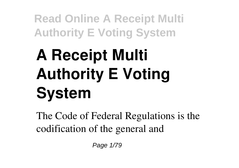# **A Receipt Multi Authority E Voting System**

The Code of Federal Regulations is the codification of the general and

Page 1/79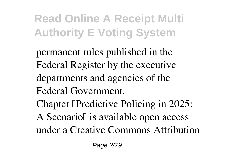- permanent rules published in the Federal Register by the executive departments and agencies of the Federal Government.
- Chapter **T**Predictive Policing in 2025: A Scenario l is available open access under a Creative Commons Attribution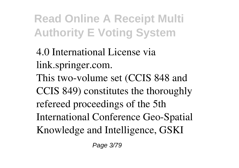4.0 International License via link.springer.com.

This two-volume set (CCIS 848 and CCIS 849) constitutes the thoroughly refereed proceedings of the 5th International Conference Geo-Spatial Knowledge and Intelligence, GSKI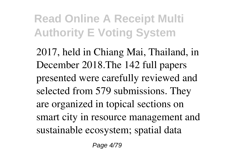2017, held in Chiang Mai, Thailand, in December 2018.The 142 full papers presented were carefully reviewed and selected from 579 submissions. They are organized in topical sections on smart city in resource management and sustainable ecosystem; spatial data

Page 4/79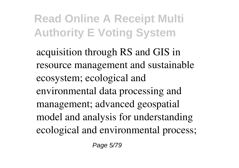acquisition through RS and GIS in resource management and sustainable ecosystem; ecological and environmental data processing and management; advanced geospatial model and analysis for understanding ecological and environmental process;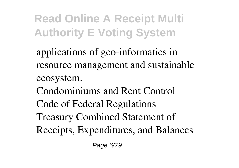applications of geo-informatics in resource management and sustainable ecosystem. Condominiums and Rent Control Code of Federal Regulations Treasury Combined Statement of Receipts, Expenditures, and Balances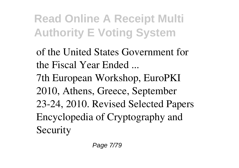of the United States Government for the Fiscal Year Ended ... 7th European Workshop, EuroPKI 2010, Athens, Greece, September 23-24, 2010. Revised Selected Papers Encyclopedia of Cryptography and Security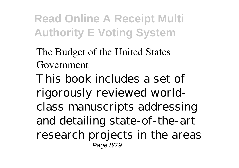The Budget of the United States Government This book includes a set of rigorously reviewed worldclass manuscripts addressing and detailing state-of-the-art research projects in the areas Page 8/79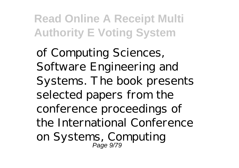of Computing Sciences, Software Engineering and Systems. The book presents selected papers from the conference proceedings of the International Conference on Systems, Computing Page 9/79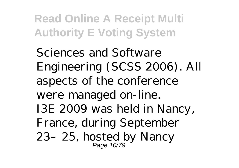Sciences and Software Engineering (SCSS 2006). All aspects of the conference were managed on-line. I3E 2009 was held in Nancy, France, during September 23–25, hosted by Nancy Page 10/79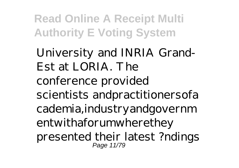University and INRIA Grand-Est at LORIA. The conference provided scientists andpractitionersofa cademia,industryandgovernm entwithaforumwherethey presented their latest ?ndings Page 11/79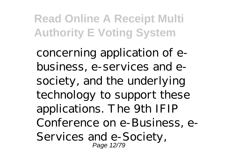concerning application of ebusiness, e-services and esociety, and the underlying technology to support these applications. The 9th IFIP Conference on e-Business, e-Services and e-Society, Page 12/79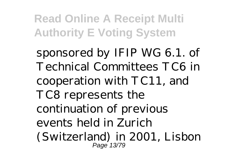sponsored by IFIP WG 6.1. of Technical Committees TC6 in cooperation with TC11, and TC8 represents the continuation of previous events held in Zurich (Switzerland) in 2001, Lisbon Page 13/79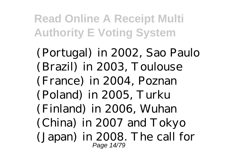(Portugal) in 2002, Sao Paulo (Brazil) in 2003, Toulouse (France) in 2004, Poznan (Poland) in 2005, Turku (Finland) in 2006, Wuhan (China) in 2007 and Tokyo (Japan) in 2008. The call for Page 14/79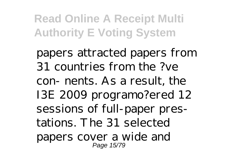papers attracted papers from 31 countries from the ?ve con- nents. As a result, the I3E 2009 programo?ered 12 sessions of full-paper prestations. The 31 selected papers cover a wide and Page 15/79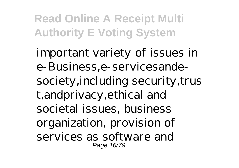important variety of issues in e-Business,e-servicesandesociety, including security, trus t,andprivacy,ethical and societal issues, business organization, provision of services as software and Page 16/79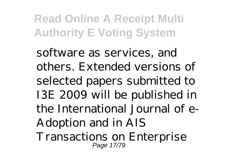software as services, and others. Extended versions of selected papers submitted to I3E 2009 will be published in the International Journal of e-Adoption and in AIS Transactions on Enterprise Page 17/79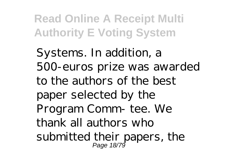Systems. In addition, a 500-euros prize was awarded to the authors of the best paper selected by the Program Comm- tee. We thank all authors who submitted their papers, the Page 18/79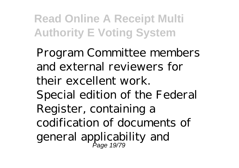Program Committee members and external reviewers for their excellent work. Special edition of the Federal Register, containing a codification of documents of general applicability and Page 19/79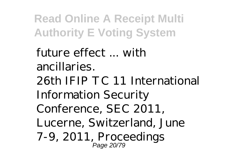future effect ... with ancillaries. 26th IFIP TC 11 International Information Security Conference, SEC 2011, Lucerne, Switzerland, June 7-9, 2011, Proceedings Page 20/79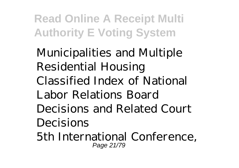Municipalities and Multiple Residential Housing Classified Index of National Labor Relations Board Decisions and Related Court Decisions 5th International Conference,

Page 21/79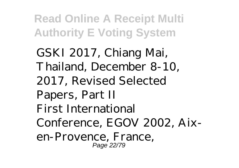GSKI 2017, Chiang Mai, Thailand, December 8-10, 2017, Revised Selected Papers, Part II First International Conference, EGOV 2002, Aixen-Provence, France, Page 22/79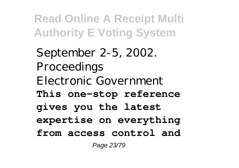September 2-5, 2002. Proceedings Electronic Government **This one-stop reference gives you the latest expertise on everything from access control and** Page 23/79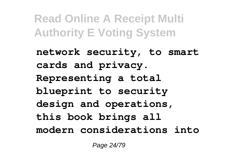**network security, to smart cards and privacy. Representing a total blueprint to security design and operations, this book brings all modern considerations into**

Page 24/79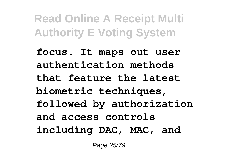**focus. It maps out user authentication methods that feature the latest biometric techniques, followed by authorization and access controls including DAC, MAC, and**

Page 25/79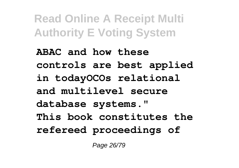**ABAC and how these controls are best applied in todayOCOs relational and multilevel secure database systems." This book constitutes the refereed proceedings of**

Page 26/79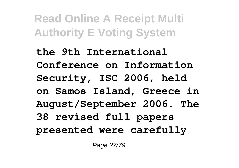**the 9th International Conference on Information Security, ISC 2006, held on Samos Island, Greece in August/September 2006. The 38 revised full papers presented were carefully**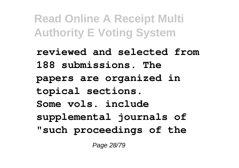**reviewed and selected from 188 submissions. The papers are organized in topical sections. Some vols. include supplemental journals of "such proceedings of the**

Page 28/79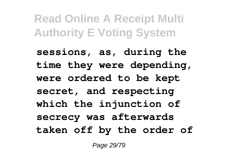**sessions, as, during the time they were depending, were ordered to be kept secret, and respecting which the injunction of secrecy was afterwards taken off by the order of**

Page 29/79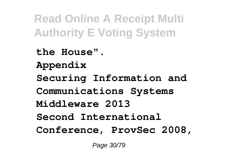**the House". Appendix Securing Information and Communications Systems Middleware 2013 Second International Conference, ProvSec 2008,**

Page 30/79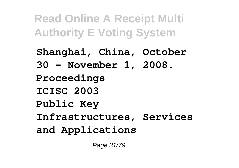**Shanghai, China, October 30 - November 1, 2008. Proceedings ICISC 2003 Public Key Infrastructures, Services and Applications**

Page 31/79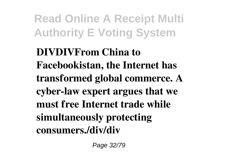**DIVDIVFrom China to Facebookistan, the Internet has transformed global commerce. A cyber-law expert argues that we must free Internet trade while simultaneously protecting consumers./div/div**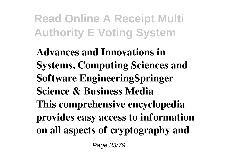**Advances and Innovations in Systems, Computing Sciences and Software EngineeringSpringer Science & Business Media This comprehensive encyclopedia provides easy access to information on all aspects of cryptography and**

Page 33/79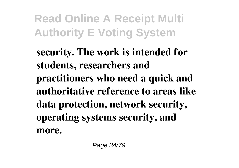**security. The work is intended for students, researchers and practitioners who need a quick and authoritative reference to areas like data protection, network security, operating systems security, and more.**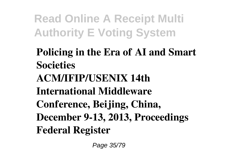**Policing in the Era of AI and Smart Societies ACM/IFIP/USENIX 14th International Middleware Conference, Beijing, China, December 9-13, 2013, Proceedings Federal Register**

Page 35/79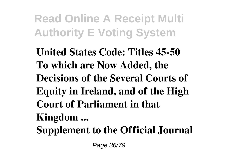**United States Code: Titles 45-50 To which are Now Added, the Decisions of the Several Courts of Equity in Ireland, and of the High Court of Parliament in that Kingdom ... Supplement to the Official Journal**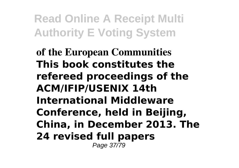**of the European Communities This book constitutes the refereed proceedings of the ACM/IFIP/USENIX 14th International Middleware Conference, held in Beijing, China, in December 2013. The 24 revised full papers** Page 37/79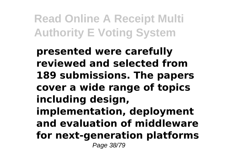**presented were carefully reviewed and selected from 189 submissions. The papers cover a wide range of topics including design, implementation, deployment and evaluation of middleware for next-generation platforms** Page 38/79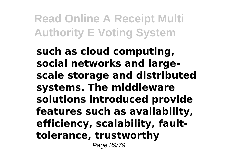**such as cloud computing, social networks and largescale storage and distributed systems. The middleware solutions introduced provide features such as availability, efficiency, scalability, faulttolerance, trustworthy**

Page 39/79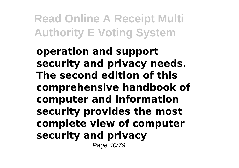**operation and support security and privacy needs. The second edition of this comprehensive handbook of computer and information security provides the most complete view of computer security and privacy** Page 40/79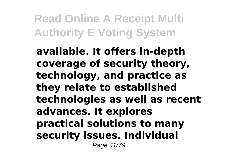**available. It offers in-depth coverage of security theory, technology, and practice as they relate to established technologies as well as recent advances. It explores practical solutions to many security issues. Individual** Page 41/79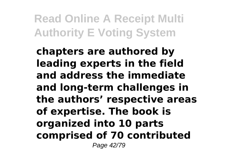**chapters are authored by leading experts in the field and address the immediate and long-term challenges in the authors' respective areas of expertise. The book is organized into 10 parts comprised of 70 contributed** Page 42/79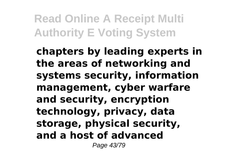**chapters by leading experts in the areas of networking and systems security, information management, cyber warfare and security, encryption technology, privacy, data storage, physical security, and a host of advanced**

Page 43/79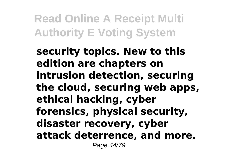**security topics. New to this edition are chapters on intrusion detection, securing the cloud, securing web apps, ethical hacking, cyber forensics, physical security, disaster recovery, cyber attack deterrence, and more.** Page 44/79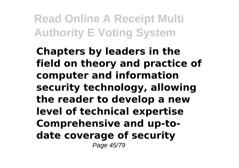**Chapters by leaders in the field on theory and practice of computer and information security technology, allowing the reader to develop a new level of technical expertise Comprehensive and up-todate coverage of security** Page 45/79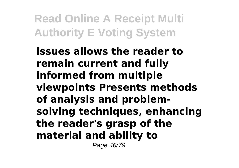**issues allows the reader to remain current and fully informed from multiple viewpoints Presents methods of analysis and problemsolving techniques, enhancing the reader's grasp of the material and ability to**

Page 46/79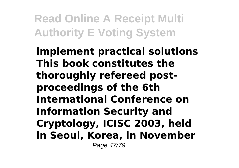**implement practical solutions This book constitutes the thoroughly refereed postproceedings of the 6th International Conference on Information Security and Cryptology, ICISC 2003, held in Seoul, Korea, in November** Page 47/79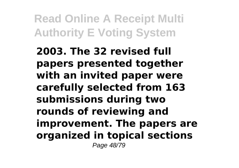**2003. The 32 revised full papers presented together with an invited paper were carefully selected from 163 submissions during two rounds of reviewing and improvement. The papers are organized in topical sections** Page 48/79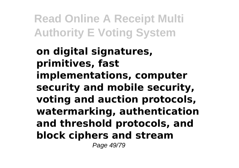**on digital signatures, primitives, fast implementations, computer security and mobile security, voting and auction protocols, watermarking, authentication and threshold protocols, and block ciphers and stream**

Page 49/79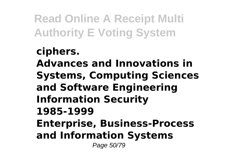**ciphers. Advances and Innovations in Systems, Computing Sciences and Software Engineering Information Security 1985-1999 Enterprise, Business-Process and Information Systems** Page 50/79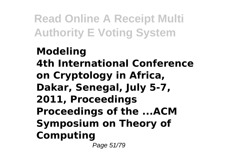**Modeling 4th International Conference on Cryptology in Africa, Dakar, Senegal, July 5-7, 2011, Proceedings Proceedings of the ...ACM Symposium on Theory of Computing** Page 51/79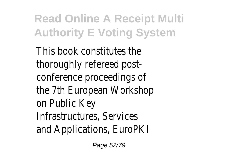This book constitutes the thoroughly refereed post conference proceedings of the 7th European Workshop on Public Key Infrastructures, Service and Applications, EuroPK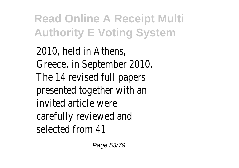2010, held in Athens Greece, in September 2010. The 14 revised full papers presented together with a invited article were carefully reviewed and selected from 4

Page 53/79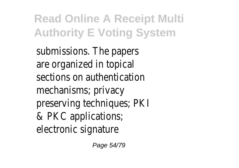submissions. The papers are organized in topical sections on authentication mechanisms; privacy preserving techniques; PK & PKC applications; electronic signature

Page 54/79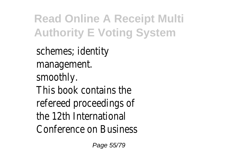schemes; identity management. smoothly. This book contains the refereed proceedings of the 12th International Conference on Business

Page 55/79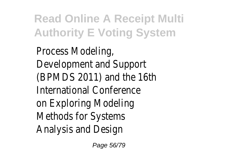Process Modeling, Development and Suppor (BPMDS 2011) and the 16th International Conference on Exploring Modeling Methods for System Analysis and Design

Page 56/79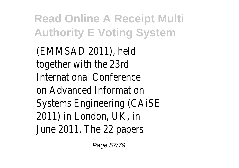(EMMSAD 2011), held together with the 23rd International Conference on Advanced Information Systems Engineering (CAIS 2011) in London, UK, in June 2011. The 22 papers

Page 57/79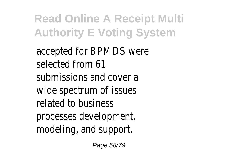accepted for BPMDS were selected from 6 submissions and cover a wide spectrum of issues related to business processes development modeling, and support.

Page 58/79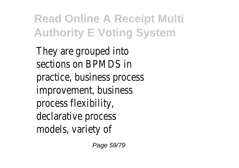They are grouped into sections on BPMDS in practice, business process improvement, business process flexibility, declarative process models, variety of

Page 59/79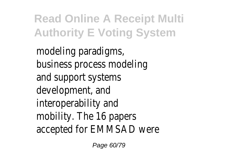modeling paradigms, business process modeling and support systems development, and interoperability and mobility. The 16 papers accepted for EMMSAD wer

Page 60/79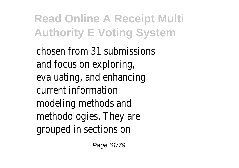chosen from 31 submissions and focus on exploring, evaluating, and enhancing current information modeling methods and methodologies. They are grouped in sections on

Page 61/79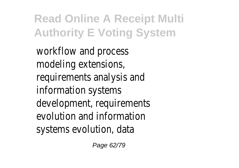workflow and process modeling extensions, requirements analysis and information systems development, requirements evolution and information systems evolution, data

Page 62/79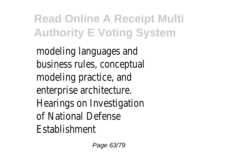modeling languages and business rules, conceptual modeling practice, and enterprise architecture. Hearings on Investigation of National Defense **Establishment**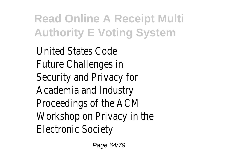United States Code Future Challenges in Security and Privacy for Academia and Industry Proceedings of the ACM Workshop on Privacy in the Electronic Society

Page 64/79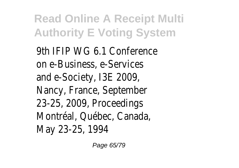9th IFIP WG 6.1 Conference on e-Business, e-Services and e-Society, I3E 2009, Nancy, France, September 23-25, 2009, Proceedings Montréal, Québec, Canada, May 23-25, 1994

Page 65/79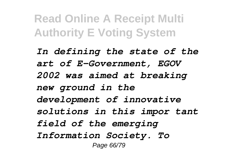*In defining the state of the art of E-Government, EGOV 2002 was aimed at breaking new ground in the development of innovative solutions in this impor tant field of the emerging Information Society. To* Page 66/79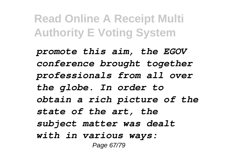*promote this aim, the EGOV conference brought together professionals from all over the globe. In order to obtain a rich picture of the state of the art, the subject matter was dealt with in various ways:* Page 67/79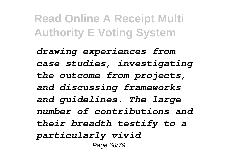*drawing experiences from case studies, investigating the outcome from projects, and discussing frameworks and guidelines. The large number of contributions and their breadth testify to a particularly vivid* Page 68/79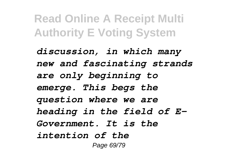*discussion, in which many new and fascinating strands are only beginning to emerge. This begs the question where we are heading in the field of E-Government. It is the intention of the* Page 69/79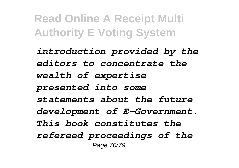*introduction provided by the editors to concentrate the wealth of expertise presented into some statements about the future development of E-Government. This book constitutes the refereed proceedings of the* Page 70/79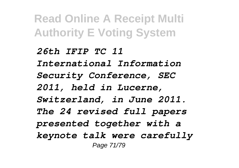*26th IFIP TC 11 International Information Security Conference, SEC 2011, held in Lucerne, Switzerland, in June 2011. The 24 revised full papers presented together with a keynote talk were carefully* Page 71/79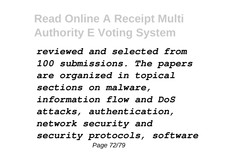*reviewed and selected from 100 submissions. The papers are organized in topical sections on malware, information flow and DoS attacks, authentication, network security and security protocols, software* Page 72/79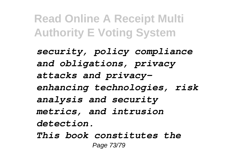*security, policy compliance and obligations, privacy attacks and privacyenhancing technologies, risk analysis and security metrics, and intrusion detection. This book constitutes the*

Page 73/79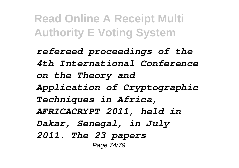*refereed proceedings of the 4th International Conference on the Theory and Application of Cryptographic Techniques in Africa, AFRICACRYPT 2011, held in Dakar, Senegal, in July 2011. The 23 papers* Page 74/79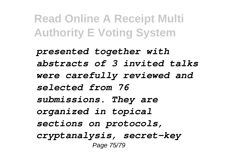*presented together with abstracts of 3 invited talks were carefully reviewed and selected from 76 submissions. They are organized in topical sections on protocols, cryptanalysis, secret-key* Page 75/79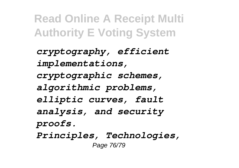*cryptography, efficient implementations, cryptographic schemes, algorithmic problems, elliptic curves, fault analysis, and security proofs. Principles, Technologies,* Page 76/79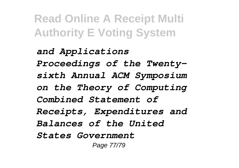*and Applications Proceedings of the Twentysixth Annual ACM Symposium on the Theory of Computing Combined Statement of Receipts, Expenditures and Balances of the United States Government* Page 77/79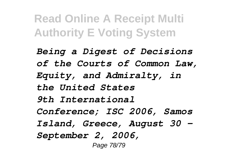*Being a Digest of Decisions of the Courts of Common Law, Equity, and Admiralty, in the United States 9th International Conference; ISC 2006, Samos Island, Greece, August 30 - September 2, 2006,* Page 78/79